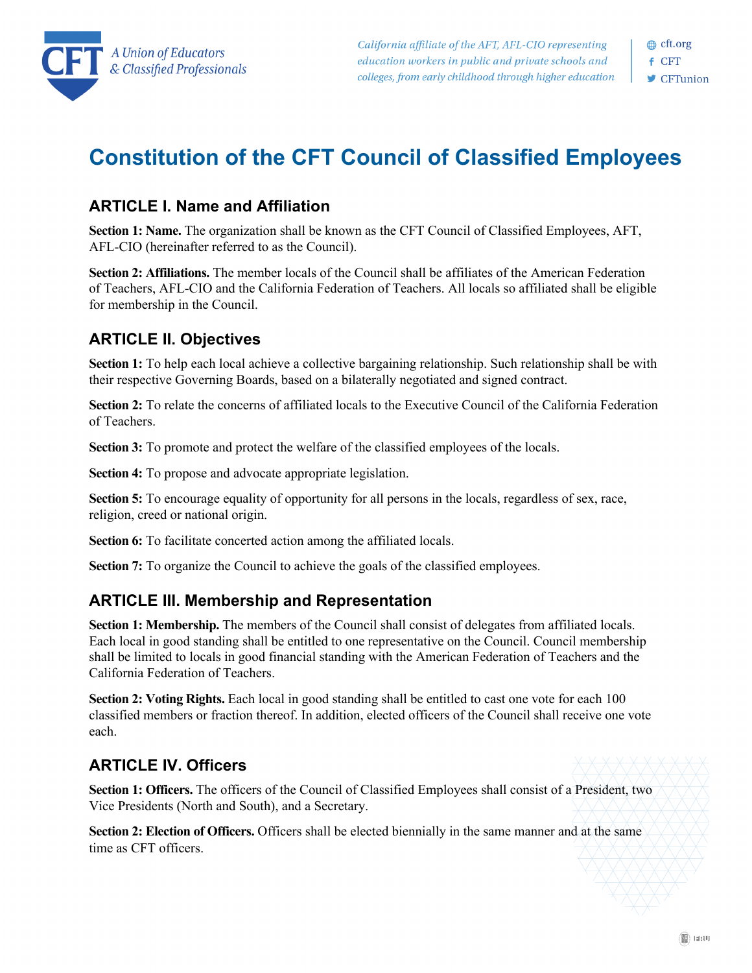

# **Constitution of the CFT Council of Classified Employees**

## **ARTICLE I. Name and Affiliation**

**Section 1: Name.** The organization shall be known as the CFT Council of Classified Employees, AFT, AFL-CIO (hereinafter referred to as the Council).

**Section 2: Affiliations.** The member locals of the Council shall be affiliates of the American Federation of Teachers, AFL-CIO and the California Federation of Teachers. All locals so affiliated shall be eligible for membership in the Council.

# **ARTICLE II. Objectives**

**Section 1:** To help each local achieve a collective bargaining relationship. Such relationship shall be with their respective Governing Boards, based on a bilaterally negotiated and signed contract.

**Section 2:** To relate the concerns of affiliated locals to the Executive Council of the California Federation of Teachers.

**Section 3:** To promote and protect the welfare of the classified employees of the locals.

**Section 4:** To propose and advocate appropriate legislation.

**Section 5:** To encourage equality of opportunity for all persons in the locals, regardless of sex, race, religion, creed or national origin.

**Section 6:** To facilitate concerted action among the affiliated locals.

**Section 7:** To organize the Council to achieve the goals of the classified employees.

## **ARTICLE III. Membership and Representation**

**Section 1: Membership.** The members of the Council shall consist of delegates from affiliated locals. Each local in good standing shall be entitled to one representative on the Council. Council membership shall be limited to locals in good financial standing with the American Federation of Teachers and the California Federation of Teachers.

**Section 2: Voting Rights.** Each local in good standing shall be entitled to cast one vote for each 100 classified members or fraction thereof. In addition, elected officers of the Council shall receive one vote each.

# **ARTICLE IV. Officers**

**Section 1: Officers.** The officers of the Council of Classified Employees shall consist of a President, two Vice Presidents (North and South), and a Secretary.

**Section 2: Election of Officers.** Officers shall be elected biennially in the same manner and at the same time as CFT officers.